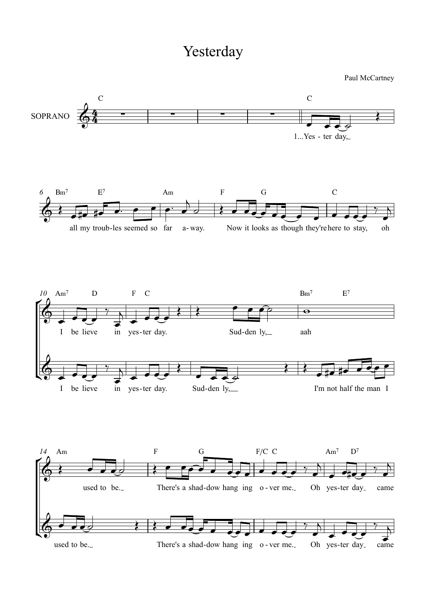## Yesterday

Paul McCartney